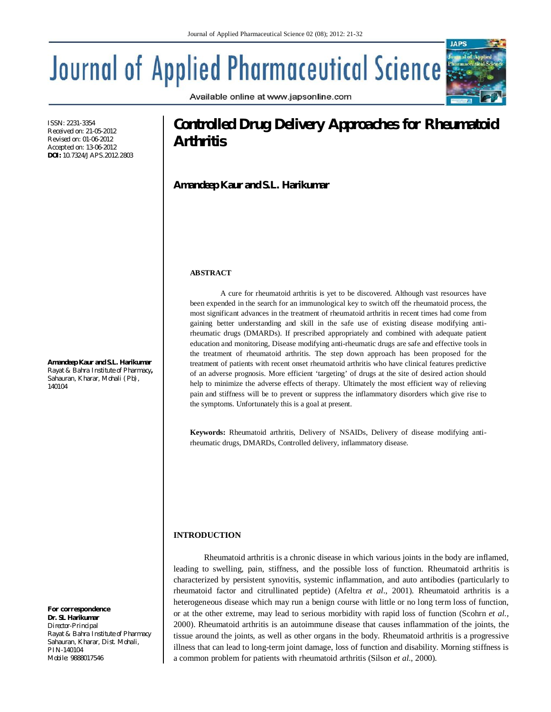Available online at www.japsonline.com

# **Journal of Applied Pharmaceutical Science**

ISSN: 2231-3354 Received on: 21-05-2012 Revised on: 01-06-2012 Accepted on: 13-06-2012 **DOI:** 10.7324/JAPS.2012.2803

**Amandeep Kaur and S.L. Harikumar** *Rayat & Bahra Institute of Pharmacy, Sahauran, Kharar, Mohali (Pb), 140104*

*For correspondence* **Dr. SL Harikumar** *Director-Principal Rayat & Bahra Institute of Pharmacy Sahauran, Kharar, Dist. Mohali, PIN-140104 Mobile: 9888017546*

# **Controlled Drug Delivery Approaches for Rheumatoid Arthritis**

**Amandeep Kaur and S.L. Harikumar**

# **ABSTRACT**

A cure for rheumatoid arthritis is yet to be discovered. Although vast resources have been expended in the search for an immunological key to switch off the rheumatoid process, the most significant advances in the treatment of rheumatoid arthritis in recent times had come from gaining better understanding and skill in the safe use of existing disease modifying antirheumatic drugs (DMARDs). If prescribed appropriately and combined with adequate patient education and monitoring, Disease modifying anti-rheumatic drugs are safe and effective tools in the treatment of rheumatoid arthritis. The step down approach has been proposed for the treatment of patients with recent onset rheumatoid arthritis who have clinical features predictive of an adverse prognosis. More efficient 'targeting' of drugs at the site of desired action should help to minimize the adverse effects of therapy. Ultimately the most efficient way of relieving pain and stiffness will be to prevent or suppress the inflammatory disorders which give rise to the symptoms. Unfortunately this is a goal at present.

**Keywords:** Rheumatoid arthritis, Delivery of NSAIDs, Delivery of disease modifying antirheumatic drugs, DMARDs, Controlled delivery, inflammatory disease.

# **INTRODUCTION**

Rheumatoid arthritis is a chronic disease in which various joints in the body are inflamed, leading to swelling, pain, stiffness, and the possible loss of function. Rheumatoid arthritis is characterized by persistent synovitis, systemic inflammation, and auto antibodies (particularly to rheumatoid factor and citrullinated peptide) (Afeltra *et al.,* 2001). Rheumatoid arthritis is a heterogeneous disease which may run a benign course with little or no long term loss of function, or at the other extreme, may lead to serious morbidity with rapid loss of function (Scohrn *et al.,*  2000). Rheumatoid arthritis is an autoimmune disease that causes inflammation of the joints, the tissue around the joints, as well as other organs in the body. Rheumatoid arthritis is a progressive illness that can lead to long-term joint damage, loss of function and disability. Morning stiffness is a common problem for patients with rheumatoid arthritis (Silson *et al.,* 2000).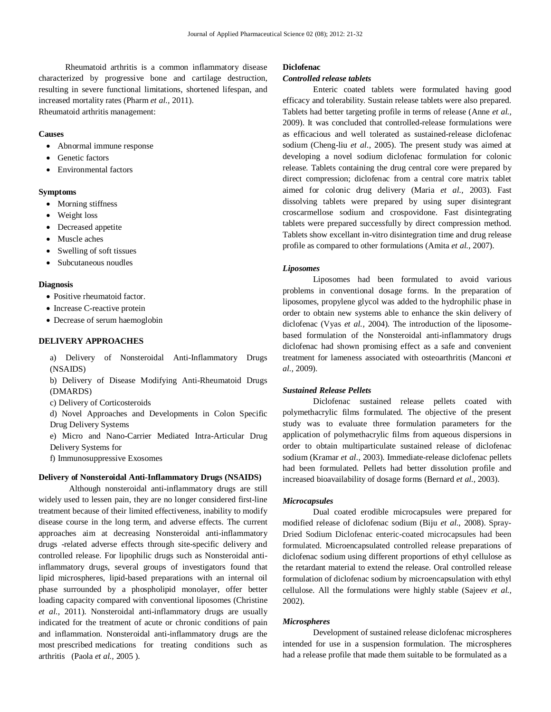Rheumatoid arthritis is a common inflammatory disease characterized by progressive bone and cartilage destruction, resulting in severe functional limitations, shortened lifespan, and increased mortality rates (Pharm *et al.,* 2011). Rheumatoid arthritis management:

#### **Causes**

- Abnormal immune response
- Genetic factors
- Environmental factors

# **Symptoms**

- Morning stiffness
- Weight loss
- Decreased appetite
- Muscle aches
- Swelling of soft tissues
- Subcutaneous noudles

#### **Diagnosis**

- Positive rheumatoid factor.
- Increase C-reactive protein
- Decrease of serum haemoglobin

# **DELIVERY APPROACHES**

- a) Delivery of Nonsteroidal Anti-Inflammatory Drugs (NSAIDS)
- b) Delivery of Disease Modifying Anti-Rheumatoid Drugs (DMARDS)
- c) Delivery of Corticosteroids

d) Novel Approaches and Developments in Colon Specific Drug Delivery Systems

e) Micro and Nano-Carrier Mediated Intra-Articular Drug Delivery Systems for

f) Immunosuppressive Exosomes

#### **Delivery of Nonsteroidal Anti-Inflammatory Drugs (NSAIDS)**

Although nonsteroidal anti-inflammatory drugs are still widely used to lessen pain, they are no longer considered first-line treatment because of their limited effectiveness, inability to modify disease course in the long term, and adverse effects. The current approaches aim at decreasing Nonsteroidal anti-inflammatory drugs -related adverse effects through site-specific delivery and controlled release. For lipophilic drugs such as Nonsteroidal antiinflammatory drugs, several groups of investigators found that lipid microspheres, lipid-based preparations with an internal oil phase surrounded by a phospholipid monolayer, offer better loading capacity compared with conventional liposomes (Christine *et al.,* 2011). Nonsteroidal anti-inflammatory drugs are usually indicated for the treatment of acute or chronic conditions of pain and inflammation. Nonsteroidal anti-inflammatory drugs are the most prescribed medications for treating conditions such as arthritis (Paola *et al.,* 2005 ).

# **Diclofenac**

# *Controlled release tablets*

Enteric coated tablets were formulated having good efficacy and tolerability. Sustain release tablets were also prepared. Tablets had better targeting profile in terms of release (Anne *et al.,*  2009). It was concluded that controlled-release formulations were as efficacious and well tolerated as sustained-release diclofenac sodium (Cheng-liu *et al.,* 2005). The present study was aimed at developing a novel sodium diclofenac formulation for colonic release. Tablets containing the drug central core were prepared by direct compression; diclofenac from a central core matrix tablet aimed for colonic drug delivery (Maria *et al.,* 2003). Fast dissolving tablets were prepared by using super disintegrant croscarmellose sodium and crospovidone. Fast disintegrating tablets were prepared successfully by direct compression method. Tablets show excellant in-vitro disintegration time and drug release profile as compared to other formulations (Amita *et al.,* 2007).

#### *Liposomes*

Liposomes had been formulated to avoid various problems in conventional dosage forms. In the preparation of liposomes, propylene glycol was added to the hydrophilic phase in order to obtain new systems able to enhance the skin delivery of diclofenac (Vyas *et al.,* 2004). The introduction of the liposomebased formulation of the Nonsteroidal anti-inflammatory drugs diclofenac had shown promising effect as a safe and convenient treatment for lameness associated with osteoarthritis (Manconi *et al.,* 2009).

# *Sustained Release Pellets*

Diclofenac sustained release pellets coated with polymethacrylic films formulated. The objective of the present study was to evaluate three formulation parameters for the application of polymethacrylic films from aqueous dispersions in order to obtain multiparticulate sustained release of diclofenac sodium (Kramar *et al.,* 2003). Immediate-release diclofenac pellets had been formulated. Pellets had better dissolution profile and increased bioavailability of dosage forms (Bernard *et al.,* 2003).

# *Microcapsules*

Dual coated erodible microcapsules were prepared for modified release of diclofenac sodium (Biju *et al.,* 2008). Spray-Dried Sodium Diclofenac enteric-coated microcapsules had been formulated. Microencapsulated controlled release preparations of diclofenac sodium using different proportions of ethyl cellulose as the retardant material to extend the release. Oral controlled release formulation of diclofenac sodium by microencapsulation with ethyl cellulose. All the formulations were highly stable (Sajeev *et al.,*  2002).

# *Microspheres*

Development of sustained release diclofenac microspheres intended for use in a suspension formulation. The microspheres had a release profile that made them suitable to be formulated as a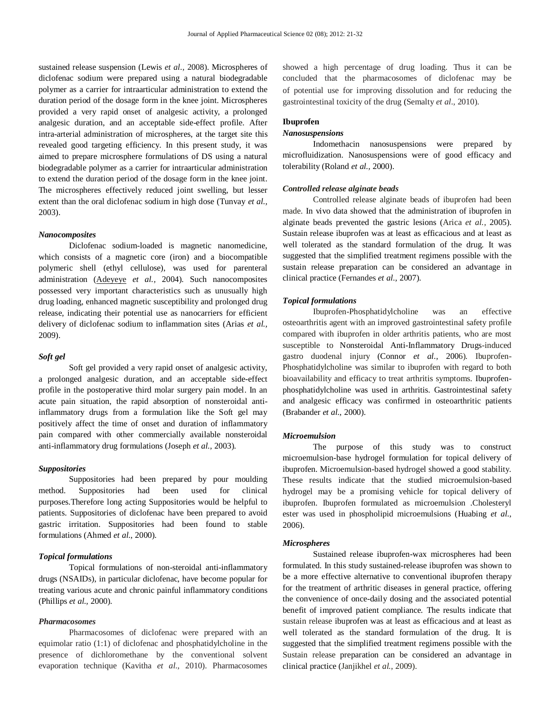sustained release suspension (Lewis *et al.,* 2008). Microspheres of diclofenac sodium were prepared using a natural biodegradable polymer as a carrier for intraarticular administration to extend the duration period of the dosage form in the knee joint. Microspheres provided a very rapid onset of analgesic activity, a prolonged analgesic duration, and an acceptable side-effect profile. After intra-arterial administration of microspheres, at the target site this revealed good targeting efficiency. In this present study, it was aimed to prepare microsphere formulations of DS using a natural biodegradable polymer as a carrier for intraarticular administration to extend the duration period of the dosage form in the knee joint. The microspheres effectively reduced joint swelling, but lesser extent than the oral diclofenac sodium in high dose (Tunvay *et al.,*  2003).

#### *Nanocomposites*

Diclofenac sodium-loaded is magnetic nanomedicine, which consists of a magnetic core (iron) and a biocompatible polymeric shell (ethyl cellulose), was used for parenteral administration (Adeyeye *et al.,* 2004). Such nanocomposites possessed very important characteristics such as unusually high drug loading, enhanced magnetic susceptibility and prolonged drug release, indicating their potential use as nanocarriers for efficient delivery of diclofenac sodium to inflammation sites (Arias *et al.,*  2009).

# *Soft gel*

Soft gel provided a very rapid onset of analgesic activity, a prolonged analgesic duration, and an acceptable side-effect profile in the postoperative third molar surgery pain model. In an acute pain situation, the rapid absorption of nonsteroidal antiinflammatory drugs from a formulation like the Soft gel may positively affect the time of onset and duration of inflammatory pain compared with other commercially available nonsteroidal anti-inflammatory drug formulations (Joseph *et al.,* 2003).

# *Suppositories*

Suppositories had been prepared by pour moulding method. Suppositories had been used for clinical purposes.Therefore long acting Suppositories would be helpful to patients. Suppositories of diclofenac have been prepared to avoid gastric irritation. Suppositories had been found to stable formulations (Ahmed *et al.,* 2000).

#### *Topical formulations*

Topical formulations of non-steroidal anti-inflammatory drugs (NSAIDs), in particular diclofenac, have become popular for treating various acute and chronic painful inflammatory conditions (Phillips *et al.,* 2000).

# *Pharmacosomes*

Pharmacosomes of diclofenac were prepared with an equimolar ratio (1:1) of diclofenac and phosphatidylcholine in the presence of dichloromethane by the conventional solvent evaporation technique (Kavitha *et al.,* 2010). Pharmacosomes showed a high percentage of drug loading. Thus it can be concluded that the pharmacosomes of diclofenac may be . of potential use for improving dissolution and for reducing the gastrointestinal toxicity of the drug (Semalty *et al.,* 2010).

#### **Ibuprofen**

# *Nanosuspensions*

Indomethacin nanosuspensions were prepared by microfluidization. Nanosuspensions were of good efficacy and tolerability (Roland *et al.,* 2000).

#### *Controlled release alginate beads*

Controlled release alginate beads of ibuprofen had been made. In vivo data showed that the administration of ibuprofen in alginate beads prevented the gastric lesions (Arica *et al.,* 2005). Sustain release ibuprofen was at least as efficacious and at least as well tolerated as the standard formulation of the drug. It was suggested that the simplified treatment regimens possible with the sustain release preparation can be considered an advantage in clinical practice (Fernandes *et al.,* 2007).

#### *Topical formulations*

Ibuprofen-Phosphatidylcholine was an effective osteoarthritis agent with an improved gastrointestinal safety profile compared with ibuprofen in older arthritis patients, who are most susceptible to Nonsteroidal Anti-Inflammatory Drugs-induced gastro duodenal injury (Connor *et al.,* 2006). Ibuprofen-Phosphatidylcholine was similar to ibuprofen with regard to both bioavailability and efficacy to treat arthritis symptoms. Ibuprofenphosphatidylcholine was used in arthritis. Gastrointestinal safety and analgesic efficacy was confirmed in osteoarthritic patients (Brabander *et al.,* 2000).

#### *Microemulsion*

The purpose of this study was to construct microemulsion-base hydrogel formulation for topical delivery of ibuprofen. Microemulsion-based hydrogel showed a good stability. These results indicate that the studied microemulsion-based hydrogel may be a promising vehicle for topical delivery of ibuprofen. Ibuprofen formulated as microemulsion .Cholesteryl ester was used in phospholipid microemulsions (Huabing *et al.,*  2006).

#### *Microspheres*

Sustained release ibuprofen-wax microspheres had been formulated. In this study sustained-release ibuprofen was shown to be a more effective alternative to conventional ibuprofen therapy for the treatment of arthritic diseases in general practice, offering the convenience of once-daily dosing and the associated potential benefit of improved patient compliance. The results indicate that sustain release ibuprofen was at least as efficacious and at least as well tolerated as the standard formulation of the drug. It is suggested that the simplified treatment regimens possible with the Sustain release preparation can be considered an advantage in clinical practice (Janjikhel *et al.,* 2009).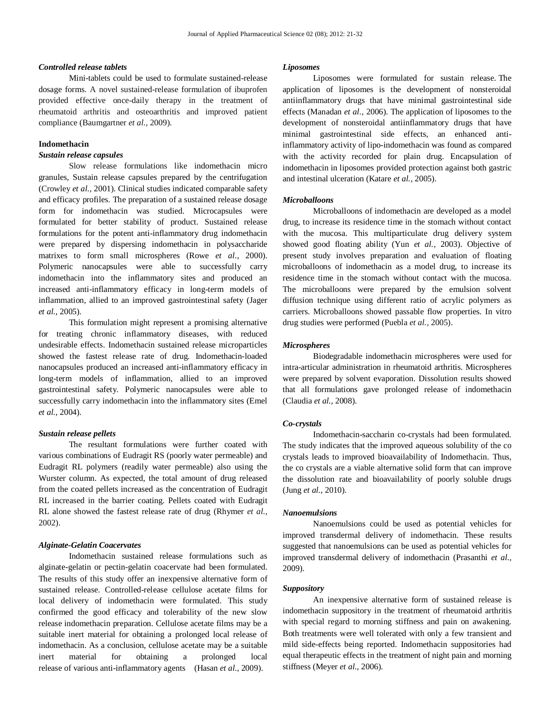# *Controlled release tablets*

Mini-tablets could be used to formulate sustained-release dosage forms. A novel sustained-release formulation of ibuprofen provided effective once-daily therapy in the treatment of rheumatoid arthritis and osteoarthritis and improved patient compliance (Baumgartner *et al.,* 2009).

# **Indomethacin**

# *Sustain release capsules*

Slow release formulations like indomethacin micro granules, Sustain release capsules prepared by the centrifugation (Crowley *et al.,* 2001). Clinical studies indicated comparable safety and efficacy profiles. The preparation of a sustained release dosage form for indomethacin was studied. Microcapsules were formulated for better stability of product. Sustained release formulations for the potent anti-inflammatory drug indomethacin were prepared by dispersing indomethacin in polysaccharide matrixes to form small microspheres (Rowe *et al.,* 2000). Polymeric nanocapsules were able to successfully carry indomethacin into the inflammatory sites and produced an increased anti-inflammatory efficacy in long-term models of inflammation, allied to an improved gastrointestinal safety (Jager *et al.,* 2005).

This formulation might represent a promising alternative for treating chronic inflammatory diseases, with reduced undesirable effects. Indomethacin sustained release microparticles showed the fastest release rate of drug. Indomethacin-loaded nanocapsules produced an increased anti-inflammatory efficacy in long-term models of inflammation, allied to an improved gastrointestinal safety. Polymeric nanocapsules were able to successfully carry indomethacin into the inflammatory sites (Emel *et al.,* 2004).

#### *Sustain release pellets*

The resultant formulations were further coated with various combinations of Eudragit RS (poorly water permeable) and Eudragit RL polymers (readily water permeable) also using the Wurster column. As expected, the total amount of drug released from the coated pellets increased as the concentration of Eudragit RL increased in the barrier coating. Pellets coated with Eudragit RL alone showed the fastest release rate of drug (Rhymer *et al.,*  2002).

#### *Alginate-Gelatin Coacervates*

Indomethacin sustained release formulations such as alginate-gelatin or pectin-gelatin coacervate had been formulated. The results of this study offer an inexpensive alternative form of sustained release. Controlled-release cellulose acetate films for local delivery of indomethacin were formulated. This study confirmed the good efficacy and tolerability of the new slow release indomethacin preparation. Cellulose acetate films may be a suitable inert material for obtaining a prolonged local release of indomethacin. As a conclusion, cellulose acetate may be a suitable inert material for obtaining a prolonged local release of various anti-inflammatory agents (Hasan *et al.,* 2009).

#### *Liposomes*

Liposomes were formulated for sustain release. The application of liposomes is the development of nonsteroidal antiinflammatory drugs that have minimal gastrointestinal side effects (Manadan *et al.,* 2006). The application of liposomes to the development of nonsteroidal antiinflammatory drugs that have minimal gastrointestinal side effects, an enhanced antiinflammatory activity of lipo-indomethacin was found as compared with the activity recorded for plain drug. Encapsulation of indomethacin in liposomes provided protection against both gastric and intestinal ulceration (Katare *et al.,* 2005).

# *Microballoons*

Microballoons of indomethacin are developed as a model drug, to increase its residence time in the stomach without contact with the mucosa. This multiparticulate drug delivery system showed good floating ability (Yun *et al.,* 2003). Objective of present study involves preparation and evaluation of floating microballoons of indomethacin as a model drug, to increase its residence time in the stomach without contact with the mucosa. The microballoons were prepared by the emulsion solvent diffusion technique using different ratio of acrylic polymers as carriers. Microballoons showed passable flow properties. In vitro drug studies were performed (Puebla *et al.,* 2005).

#### *Microspheres*

Biodegradable indomethacin microspheres were used for intra-articular administration in rheumatoid arthritis. Microspheres were prepared by solvent evaporation. Dissolution results showed that all formulations gave prolonged release of indomethacin (Claudia *et al.,* 2008).

# *Co-crystals*

Indomethacin-saccharin co-crystals had been formulated. The study indicates that the improved aqueous solubility of the co crystals leads to improved bioavailability of Indomethacin. Thus, the co crystals are a viable alternative solid form that can improve the dissolution rate and bioavailability of poorly soluble drugs (Jung *et al.,* 2010).

#### *Nanoemulsions*

Nanoemulsions could be used as potential vehicles for improved transdermal delivery of indomethacin. These results suggested that nanoemulsions can be used as potential vehicles for improved transdermal delivery of indomethacin (Prasanthi *et al.,*  2009).

# *Suppository*

An inexpensive alternative form of sustained release is indomethacin suppository in the treatment of rheumatoid arthritis with special regard to morning stiffness and pain on awakening. Both treatments were well tolerated with only a few transient and mild side-effects being reported. Indomethacin suppositories had equal therapeutic effects in the treatment of night pain and morning stiffness (Meyer *et al.,* 2006).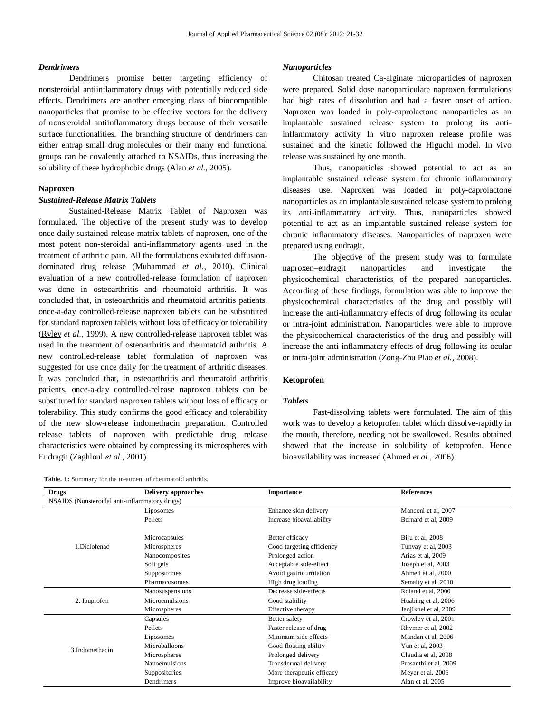#### *Dendrimers*

Dendrimers promise better targeting efficiency of nonsteroidal antiinflammatory drugs with potentially reduced side effects. Dendrimers are another emerging class of biocompatible nanoparticles that promise to be effective vectors for the delivery of nonsteroidal antiinflammatory drugs because of their versatile surface functionalities. The branching structure of dendrimers can either entrap small drug molecules or their many end functional groups can be covalently attached to NSAIDs, thus increasing the solubility of these hydrophobic drugs (Alan *et al.,* 2005).

#### **Naproxen**

# *Sustained-Release Matrix Tablets*

Sustained-Release Matrix Tablet of Naproxen was formulated. The objective of the present study was to develop once-daily sustained-release matrix tablets of naproxen, one of the most potent non-steroidal anti-inflammatory agents used in the treatment of arthritic pain. All the formulations exhibited diffusiondominated drug release (Muhammad *et al.,* 2010). Clinical evaluation of a new controlled-release formulation of naproxen was done in osteoarthritis and rheumatoid arthritis. It was concluded that, in osteoarthritis and rheumatoid arthritis patients, once-a-day controlled-release naproxen tablets can be substituted for standard naproxen tablets without loss of efficacy or tolerability (Ryley *et al.,* 1999). A new controlled-release naproxen tablet was used in the treatment of osteoarthritis and rheumatoid arthritis. A new controlled-release tablet formulation of naproxen was suggested for use once daily for the treatment of arthritic diseases. It was concluded that, in osteoarthritis and rheumatoid arthritis patients, once-a-day controlled-release naproxen tablets can be substituted for standard naproxen tablets without loss of efficacy or tolerability. This study confirms the good efficacy and tolerability of the new slow-release indomethacin preparation. Controlled release tablets of naproxen with predictable drug release characteristics were obtained by compressing its microspheres with Eudragit (Zaghloul *et al.,* 2001).

#### *Nanoparticles*

Chitosan treated Ca-alginate microparticles of naproxen were prepared. Solid dose nanoparticulate naproxen formulations had high rates of dissolution and had a faster onset of action. Naproxen was loaded in poly-caprolactone nanoparticles as an implantable sustained release system to prolong its antiinflammatory activity In vitro naproxen release profile was sustained and the kinetic followed the Higuchi model. In vivo release was sustained by one month.

Thus, nanoparticles showed potential to act as an implantable sustained release system for chronic inflammatory diseases use. Naproxen was loaded in poly-caprolactone nanoparticles as an implantable sustained release system to prolong its anti-inflammatory activity. Thus, nanoparticles showed potential to act as an implantable sustained release system for chronic inflammatory diseases. Nanoparticles of naproxen were prepared using eudragit.

The objective of the present study was to formulate naproxen–eudragit nanoparticles and investigate the physicochemical characteristics of the prepared nanoparticles. According of these findings, formulation was able to improve the physicochemical characteristics of the drug and possibly will increase the anti-inflammatory effects of drug following its ocular or intra-joint administration. Nanoparticles were able to improve the physicochemical characteristics of the drug and possibly will increase the anti-inflammatory effects of drug following its ocular or intra-joint administration (Zong-Zhu Piao *et al.,* 2008).

# **Ketoprofen**

#### *Tablets*

Fast-dissolving tablets were formulated. The aim of this work was to develop a ketoprofen tablet which dissolve-rapidly in the mouth, therefore, needing not be swallowed. Results obtained showed that the increase in solubility of ketoprofen. Hence bioavailability was increased (Ahmed *et al.,* 2006).

| <b>Drugs</b>                                                                                                                                                                                                                     | Delivery approaches | Importance                                                                                                                                                                                     | <b>References</b>     |
|----------------------------------------------------------------------------------------------------------------------------------------------------------------------------------------------------------------------------------|---------------------|------------------------------------------------------------------------------------------------------------------------------------------------------------------------------------------------|-----------------------|
| NSAIDS (Nonsteroidal anti-inflammatory drugs)<br>Manconi et al, 2007<br>Enhance skin delivery<br>Liposomes<br>Increase bioavailability<br>Bernard et al, 2009<br>Pellets<br>Microcapsules<br>Better efficacy<br>Biju et al, 2008 |                     |                                                                                                                                                                                                |                       |
| 1.Diclofenac                                                                                                                                                                                                                     |                     |                                                                                                                                                                                                |                       |
|                                                                                                                                                                                                                                  |                     |                                                                                                                                                                                                |                       |
|                                                                                                                                                                                                                                  |                     |                                                                                                                                                                                                |                       |
|                                                                                                                                                                                                                                  | Microspheres        | Good targeting efficiency                                                                                                                                                                      | Tunvay et al, 2003    |
|                                                                                                                                                                                                                                  | Nanocomposites      | Prolonged action                                                                                                                                                                               | Arias et al, 2009     |
|                                                                                                                                                                                                                                  | Soft gels           | Acceptable side-effect                                                                                                                                                                         | Joseph et al, 2003    |
|                                                                                                                                                                                                                                  | Suppositories       | Avoid gastric irritation                                                                                                                                                                       | Ahmed et al, 2000     |
|                                                                                                                                                                                                                                  | Pharmacosomes       | High drug loading                                                                                                                                                                              | Semalty et al, 2010   |
| 2. Ibuprofen                                                                                                                                                                                                                     | Nanosuspensions     | Decrease side-effects                                                                                                                                                                          | Roland et al, 2000    |
|                                                                                                                                                                                                                                  | Microemulsions      | Good stability                                                                                                                                                                                 | Huabing et al, 2006   |
|                                                                                                                                                                                                                                  | Microspheres        | Effective therapy                                                                                                                                                                              | Janjikhel et al, 2009 |
|                                                                                                                                                                                                                                  | Capsules            | Better safety<br>Faster release of drug<br>Minimum side effects<br>Good floating ability<br>Prolonged delivery<br>Transdermal delivery<br>More therapeutic efficacy<br>Improve bioavailability | Crowley et al, 2001   |
| 3.Indomethacin                                                                                                                                                                                                                   | Pellets             |                                                                                                                                                                                                | Rhymer et al, 2002    |
|                                                                                                                                                                                                                                  | Liposomes           |                                                                                                                                                                                                | Mandan et al, 2006    |
|                                                                                                                                                                                                                                  | Microballoons       |                                                                                                                                                                                                | Yun et al, 2003       |
|                                                                                                                                                                                                                                  | Microspheres        |                                                                                                                                                                                                | Claudia et al, 2008   |
|                                                                                                                                                                                                                                  | Nanoemulsions       |                                                                                                                                                                                                | Prasanthi et al, 2009 |
|                                                                                                                                                                                                                                  | Suppositories       |                                                                                                                                                                                                | Meyer et al, 2006     |
|                                                                                                                                                                                                                                  | Dendrimers          |                                                                                                                                                                                                | Alan et al, 2005      |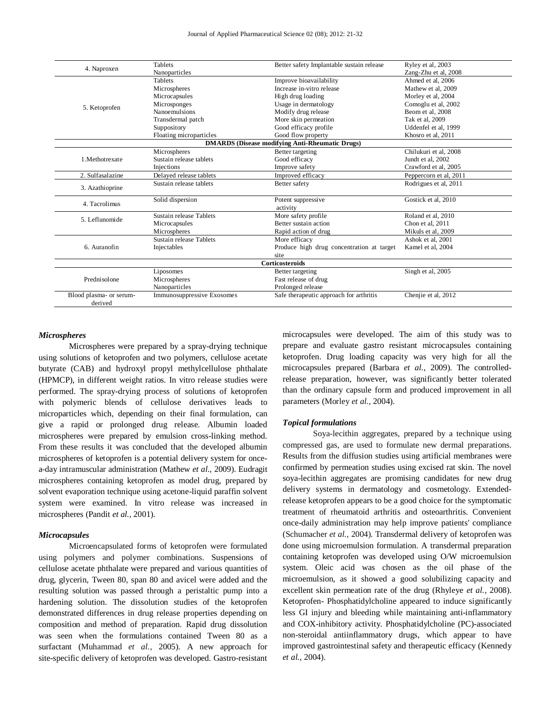| 4. Naproxen                                            | <b>Tablets</b>             | Better safety Implantable sustain release | Ryley et al, 2003      |  |  |
|--------------------------------------------------------|----------------------------|-------------------------------------------|------------------------|--|--|
|                                                        | Nanoparticles              |                                           | Zang-Zhu et al, 2008   |  |  |
|                                                        | <b>Tablets</b>             | Improve bioavailability                   | Ahmed et al. 2006      |  |  |
|                                                        | Microspheres               | Increase in-vitro release                 | Mathew et al, 2009     |  |  |
|                                                        | Microcapsules              | High drug loading                         | Morley et al, 2004     |  |  |
| 5. Ketoprofen                                          | Microsponges               | Usage in dermatology                      | Comoglu et al, 2002    |  |  |
|                                                        | Nanoemulsions              | Modify drug release                       | Beom et al. 2008       |  |  |
|                                                        | Transdermal patch          | More skin permeation                      | Tak et al. 2009        |  |  |
|                                                        | Suppository                | Good efficacy profile                     | Uddenfel et al. 1999   |  |  |
|                                                        | Floating microparticles    | Good flow property                        | Khosro et al, 2011     |  |  |
| <b>DMARDS</b> (Disease modifying Anti-Rheumatic Drugs) |                            |                                           |                        |  |  |
|                                                        | Microspheres               | Better targeting                          | Chilukuri et al, 2008  |  |  |
| 1.Methotrexate                                         | Sustain release tablets    | Good efficacy                             | Jundt et al, 2002      |  |  |
|                                                        | Injections                 | Improve safety                            | Crawford et al. 2005   |  |  |
| 2. Sulfasalazine                                       | Delayed release tablets    | Improved efficacy                         | Peppercorn et al, 2011 |  |  |
| 3. Azathioprine                                        | Sustain release tablets    | Better safety                             | Rodrigues et al, 2011  |  |  |
| 4. Tacrolimus                                          | Solid dispersion           | Potent suppressive                        | Gostick et al, 2010    |  |  |
|                                                        |                            | activity                                  |                        |  |  |
| 5. Leflunomide                                         | Sustain release Tablets    | More safety profile                       | Roland et al, 2010     |  |  |
|                                                        | Microcapsules              | Better sustain action                     | Chon et al, 2011       |  |  |
|                                                        | Microspheres               | Rapid action of drug                      | Mikuls et al. 2009     |  |  |
|                                                        | Sustain release Tablets    | More efficacy                             | Ashok et al. 2001      |  |  |
| 6. Auranofin                                           | Injectables                | Produce high drug concentration at target | Kamel et al, 2004      |  |  |
|                                                        |                            | site                                      |                        |  |  |
|                                                        |                            | <b>Corticosteroids</b>                    |                        |  |  |
|                                                        | Liposomes                  | Better targeting                          | Singh et al, 2005      |  |  |
| Prednisolone                                           | Microspheres               | Fast release of drug                      |                        |  |  |
|                                                        | Nanoparticles              | Prolonged release                         |                        |  |  |
| Blood plasma- or serum-<br>derived                     | Immunosuppressive Exosomes | Safe therapeutic approach for arthritis   | Chenjie et al, 2012    |  |  |

# *Microspheres*

Microspheres were prepared by a spray-drying technique using solutions of ketoprofen and two polymers, cellulose acetate butyrate (CAB) and hydroxyl propyl methylcellulose phthalate (HPMCP), in different weight ratios. In vitro release studies were performed. The spray-drying process of solutions of ketoprofen with polymeric blends of cellulose derivatives leads to microparticles which, depending on their final formulation, can give a rapid or prolonged drug release. Albumin loaded microspheres were prepared by emulsion cross-linking method. From these results it was concluded that the developed albumin microspheres of ketoprofen is a potential delivery system for oncea-day intramuscular administration (Mathew *et al.,* 2009). Eudragit microspheres containing ketoprofen as model drug, prepared by solvent evaporation technique using acetone-liquid paraffin solvent system were examined. In vitro release was increased in microspheres (Pandit *et al.,* 2001).

#### *Microcapsules*

Microencapsulated forms of ketoprofen were formulated using polymers and polymer combinations. Suspensions of cellulose acetate phthalate were prepared and various quantities of drug, glycerin, Tween 80, span 80 and avicel were added and the resulting solution was passed through a peristaltic pump into a hardening solution. The dissolution studies of the ketoprofen demonstrated differences in drug release properties depending on composition and method of preparation. Rapid drug dissolution was seen when the formulations contained Tween 80 as a surfactant (Muhammad *et al.,* 2005). A new approach for site-specific delivery of ketoprofen was developed. Gastro-resistant

microcapsules were developed. The aim of this study was to prepare and evaluate gastro resistant microcapsules containing ketoprofen. Drug loading capacity was very high for all the microcapsules prepared (Barbara *et al.,* 2009). The controlledrelease preparation, however, was significantly better tolerated than the ordinary capsule form and produced improvement in all parameters (Morley *et al.,* 2004).

#### *Topical formulations*

Soya-lecithin aggregates, prepared by a technique using compressed gas, are used to formulate new dermal preparations. Results from the diffusion studies using artificial membranes were confirmed by permeation studies using excised rat skin. The novel soya-lecithin aggregates are promising candidates for new drug delivery systems in dermatology and cosmetology. Extendedrelease ketoprofen appears to be a good choice for the symptomatic treatment of rheumatoid arthritis and osteoarthritis. Convenient once-daily administration may help improve patients' compliance (Schumacher *et al.,* 2004). Transdermal delivery of ketoprofen was done using microemulsion formulation. A transdermal preparation containing ketoprofen was developed using O/W microemulsion system. Oleic acid was chosen as the oil phase of the microemulsion, as it showed a good solubilizing capacity and excellent skin permeation rate of the drug (Rhyleye *et al.,* 2008). Ketoprofen- Phosphatidylcholine appeared to induce significantly less GI injury and bleeding while maintaining anti-inflammatory and COX-inhibitory activity. Phosphatidylcholine (PC)-associated non-steroidal antiinflammatory drugs, which appear to have improved gastrointestinal safety and therapeutic efficacy (Kennedy *et al.,* 2004).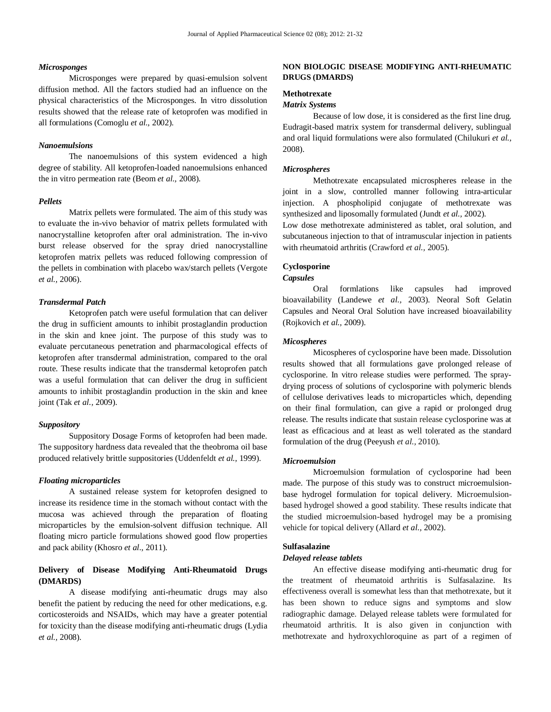# *Microsponges*

Microsponges were prepared by quasi-emulsion solvent diffusion method. All the factors studied had an influence on the physical characteristics of the Microsponges. In vitro dissolution results showed that the release rate of ketoprofen was modified in all formulations (Comoglu *et al.,* 2002).

# *Nanoemulsions*

The nanoemulsions of this system evidenced a high degree of stability. All ketoprofen-loaded nanoemulsions enhanced the in vitro permeation rate (Beom *et al.,* 2008).

#### *Pellets*

Matrix pellets were formulated. The aim of this study was to evaluate the in-vivo behavior of matrix pellets formulated with nanocrystalline ketoprofen after oral administration. The in-vivo burst release observed for the spray dried nanocrystalline ketoprofen matrix pellets was reduced following compression of the pellets in combination with placebo wax/starch pellets (Vergote *et al.,* 2006).

# *Transdermal Patch*

Ketoprofen patch were useful formulation that can deliver the drug in sufficient amounts to inhibit prostaglandin production in the skin and knee joint. The purpose of this study was to evaluate percutaneous penetration and pharmacological effects of ketoprofen after transdermal administration, compared to the oral route. These results indicate that the transdermal ketoprofen patch was a useful formulation that can deliver the drug in sufficient amounts to inhibit prostaglandin production in the skin and knee joint (Tak *et al.,* 2009).

# *Suppository*

Suppository Dosage Forms of ketoprofen had been made. The suppository hardness data revealed that the theobroma oil base produced relatively brittle suppositories (Uddenfeldt *et al.,* 1999).

# *Floating microparticles*

A sustained release system for ketoprofen designed to increase its residence time in the stomach without contact with the mucosa was achieved through the preparation of floating microparticles by the emulsion-solvent diffusion technique. All floating micro particle formulations showed good flow properties and pack ability (Khosro *et al.,* 2011).

# **Delivery of Disease Modifying Anti-Rheumatoid Drugs (DMARDS)**

A disease modifying anti-rheumatic drugs may also benefit the patient by reducing the need for other medications, e.g. corticosteroids and NSAIDs, which may have a greater potential for toxicity than the disease modifying anti-rheumatic drugs (Lydia *et al.,* 2008).

# **NON BIOLOGIC DISEASE MODIFYING ANTI-RHEUMATIC DRUGS (DMARDS)**

# **Methotrexate**

# *Matrix Systems*

Because of low dose, it is considered as the first line drug. Eudragit-based matrix system for transdermal delivery, sublingual and oral liquid formulations were also formulated (Chilukuri *et al.,*  2008).

# *Microspheres*

Methotrexate encapsulated microspheres release in the joint in a slow, controlled manner following intra-articular injection. A phospholipid conjugate of methotrexate was synthesized and liposomally formulated (Jundt *et al.,* 2002).

Low dose methotrexate administered as tablet, oral solution, and subcutaneous injection to that of intramuscular injection in patients with rheumatoid arthritis (Crawford *et al.,* 2005).

# **Cyclosporine**

#### *Capsules*

Oral formlations like capsules had improved bioavailability (Landewe *et al.,* 2003). Neoral Soft Gelatin Capsules and Neoral Oral Solution have increased bioavailability (Rojkovich *et al.,* 2009).

#### *Micospheres*

Micospheres of cyclosporine have been made. Dissolution results showed that all formulations gave prolonged release of cyclosporine. In vitro release studies were performed. The spraydrying process of solutions of cyclosporine with polymeric blends of cellulose derivatives leads to microparticles which, depending on their final formulation, can give a rapid or prolonged drug release. The results indicate that sustain release cyclosporine was at least as efficacious and at least as well tolerated as the standard formulation of the drug (Peeyush *et al.,* 2010).

# *Microemulsion*

Microemulsion formulation of cyclosporine had been made. The purpose of this study was to construct microemulsionbase hydrogel formulation for topical delivery. Microemulsionbased hydrogel showed a good stability. These results indicate that the studied microemulsion-based hydrogel may be a promising vehicle for topical delivery (Allard *et al.,* 2002).

# **Sulfasalazine**

# *Delayed release tablets*

An effective disease modifying anti-rheumatic drug for the treatment of rheumatoid arthritis is Sulfasalazine. Its effectiveness overall is somewhat less than that methotrexate, but it has been shown to reduce signs and symptoms and slow radiographic damage. Delayed release tablets were formulated for rheumatoid arthritis. It is also given in conjunction with methotrexate and hydroxychloroquine as part of a regimen of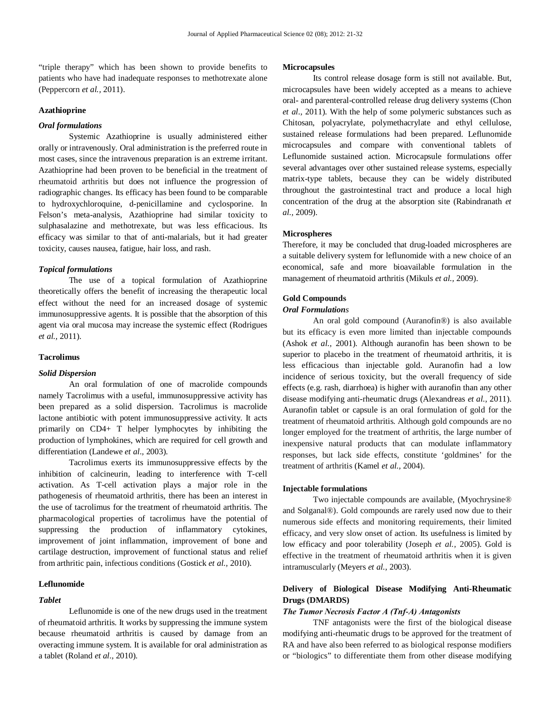"triple therapy" which has been shown to provide benefits to patients who have had inadequate responses to methotrexate alone (Peppercorn *et al.,* 2011).

# **Azathioprine**

# *Oral formulations*

Systemic Azathioprine is usually administered either orally or intravenously. Oral administration is the preferred route in most cases, since the intravenous preparation is an extreme irritant. Azathioprine had been proven to be beneficial in the treatment of rheumatoid arthritis but does not influence the progression of radiographic changes. Its efficacy has been found to be comparable to hydroxychloroquine, d-penicillamine and cyclosporine. In Felson's meta-analysis, Azathioprine had similar toxicity to sulphasalazine and methotrexate, but was less efficacious. Its efficacy was similar to that of anti-malarials, but it had greater toxicity, causes nausea, fatigue, hair loss, and rash.

#### *Topical formulations*

The use of a topical formulation of Azathioprine theoretically offers the benefit of increasing the therapeutic local effect without the need for an increased dosage of systemic immunosuppressive agents. It is possible that the absorption of this agent via oral mucosa may increase the systemic effect (Rodrigues *et al.,* 2011).

# **Tacrolimus**

# *Solid Dispersion*

An oral formulation of one of macrolide compounds namely Tacrolimus with a useful, immunosuppressive activity has been prepared as a solid dispersion. Tacrolimus is macrolide lactone antibiotic with potent immunosuppressive activity. It acts primarily on CD4+ T helper lymphocytes by inhibiting the production of lymphokines, which are required for cell growth and differentiation (Landewe *et al.,* 2003).

Tacrolimus exerts its immunosuppressive effects by the inhibition of calcineurin, leading to interference with T-cell activation. As T-cell activation plays a major role in the pathogenesis of rheumatoid arthritis, there has been an interest in the use of tacrolimus for the treatment of rheumatoid arthritis. The pharmacological properties of tacrolimus have the potential of suppressing the production of inflammatory cytokines, improvement of joint inflammation, improvement of bone and cartilage destruction, improvement of functional status and relief from arthritic pain, infectious conditions (Gostick *et al.,* 2010).

# **Leflunomide**

#### *Tablet*

Leflunomide is one of the new drugs used in the treatment of rheumatoid arthritis. It works by suppressing the immune system because rheumatoid arthritis is caused by damage from an overacting immune system. It is available for oral administration as a tablet (Roland *et al.,* 2010).

#### **Microcapsules**

Its control release dosage form is still not available. But, microcapsules have been widely accepted as a means to achieve oral- and parenteral-controlled release drug delivery systems (Chon *et al.,* 2011). With the help of some polymeric substances such as Chitosan, polyacrylate, polymethacrylate and ethyl cellulose, sustained release formulations had been prepared. Leflunomide microcapsules and compare with conventional tablets of Leflunomide sustained action. Microcapsule formulations offer several advantages over other sustained release systems, especially matrix-type tablets, because they can be widely distributed throughout the gastrointestinal tract and produce a local high concentration of the drug at the absorption site (Rabindranath *et al.,* 2009).

#### **Microspheres**

Therefore, it may be concluded that drug-loaded microspheres are a suitable delivery system for leflunomide with a new choice of an economical, safe and more bioavailable formulation in the management of rheumatoid arthritis (Mikuls *et al.,* 2009).

# **Gold Compounds**

# *Oral Formulations*

An oral gold compound (Auranofin®) is also available but its efficacy is even more limited than injectable compounds (Ashok *et al.,* 2001). Although auranofin has been shown to be superior to placebo in the treatment of rheumatoid arthritis, it is less efficacious than injectable gold. Auranofin had a low incidence of serious toxicity, but the overall frequency of side effects (e.g. rash, diarrhoea) is higher with auranofin than any other disease modifying anti-rheumatic drugs (Alexandreas *et al.,* 2011). Auranofin tablet or capsule is an oral formulation of gold for the treatment of rheumatoid arthritis. Although gold compounds are no longer employed for the treatment of arthritis, the large number of inexpensive natural products that can modulate inflammatory responses, but lack side effects, constitute 'goldmines' for the treatment of arthritis (Kamel *et al.,* 2004).

#### **Injectable formulations**

Two injectable compounds are available, (Myochrysine® and Solganal®). Gold compounds are rarely used now due to their numerous side effects and monitoring requirements, their limited efficacy, and very slow onset of action. Its usefulness is limited by low efficacy and poor tolerability (Joseph *et al.,* 2005). Gold is effective in the treatment of rheumatoid arthritis when it is given intramuscularly (Meyers *et al.,* 2003).

# **Delivery of Biological Disease Modifying Anti-Rheumatic Drugs (DMARDS)**

# *The Tumor Necrosis Factor Α (Tnf-Α) Antagonists*

TNF antagonists were the first of the biological disease modifying anti-rheumatic drugs to be approved for the treatment of RA and have also been referred to as biological response modifiers or "biologics" to differentiate them from other disease modifying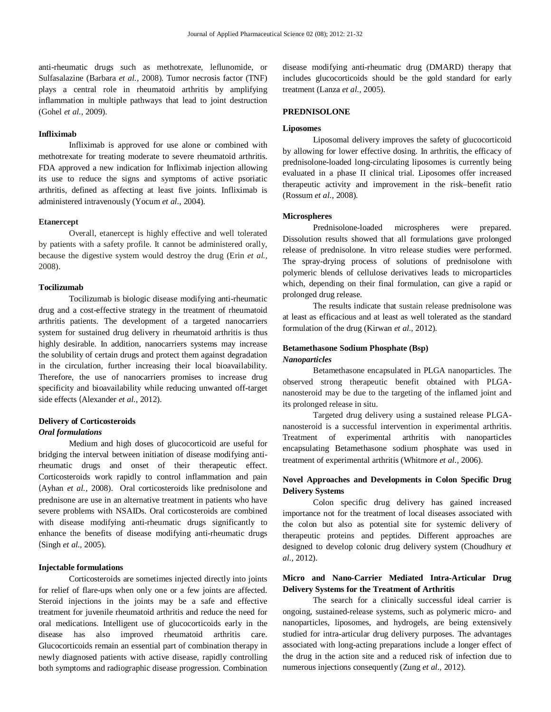anti-rheumatic drugs such as methotrexate, leflunomide, or Sulfasalazine (Barbara *et al.,* 2008). Tumor necrosis factor (TNF) plays a central role in rheumatoid arthritis by amplifying inflammation in multiple pathways that lead to joint destruction (Gohel *et al.,* 2009).

# **Infliximab**

Infliximab is approved for use alone or combined with methotrexate for treating moderate to severe rheumatoid arthritis. FDA approved a new indication for Infliximab injection allowing its use to reduce the signs and symptoms of active psoriatic arthritis, defined as affecting at least five joints. Infliximab is administered intravenously (Yocum *et al.,* 2004).

# **Etanercept**

Overall, etanercept is highly effective and well tolerated by patients with a safety profile. It cannot be administered orally, because the digestive system would destroy the drug (Erin *et al.,*  2008).

# **Tocilizumab**

Tocilizumab is biologic disease modifying anti-rheumatic drug and a cost-effective strategy in the treatment of rheumatoid arthritis patients. The development of a targeted nanocarriers system for sustained drug delivery in rheumatoid arthritis is thus highly desirable. In addition, nanocarriers systems may increase the solubility of certain drugs and protect them against degradation in the circulation, further increasing their local bioavailability. Therefore, the use of nanocarriers promises to increase drug specificity and bioavailability while reducing unwanted off-target side effects (Alexander *et al.,* 2012).

# **Delivery of Corticosteroids** *Oral formulations*

Medium and high doses of glucocorticoid are useful for bridging the interval between initiation of disease modifying antirheumatic drugs and onset of their therapeutic effect. Corticosteroids work rapidly to control inflammation and pain (Ayhan *et al.,* 2008). Oral corticosteroids like prednisolone and prednisone are use in an alternative treatment in patients who have severe problems with NSAIDs. Oral corticosteroids are combined with disease modifying anti-rheumatic drugs significantly to enhance the benefits of disease modifying anti-rheumatic drugs (Singh *et al.,* 2005).

# **Injectable formulations**

Corticosteroids are sometimes injected directly into joints for relief of flare-ups when only one or a few joints are affected. Steroid injections in the joints may be a safe and effective treatment for juvenile rheumatoid arthritis and reduce the need for oral medications. Intelligent use of glucocorticoids early in the disease has also improved rheumatoid arthritis care. Glucocorticoids remain an essential part of combination therapy in newly diagnosed patients with active disease, rapidly controlling both symptoms and radiographic disease progression. Combination

disease modifying anti-rheumatic drug (DMARD) therapy that includes glucocorticoids should be the gold standard for early treatment (Lanza *et al.,* 2005).

# **PREDNISOLONE**

#### **Liposomes**

Liposomal delivery improves the safety of glucocorticoid by allowing for lower effective dosing. In arthritis, the efficacy of prednisolone-loaded long-circulating liposomes is currently being evaluated in a phase II clinical trial. Liposomes offer increased therapeutic activity and improvement in the risk–benefit ratio (Rossum *et al.,* 2008).

# **Microspheres**

Prednisolone-loaded microspheres were prepared. Dissolution results showed that all formulations gave prolonged release of prednisolone. In vitro release studies were performed. The spray-drying process of solutions of prednisolone with polymeric blends of cellulose derivatives leads to microparticles which, depending on their final formulation, can give a rapid or prolonged drug release.

The results indicate that sustain release prednisolone was at least as efficacious and at least as well tolerated as the standard formulation of the drug (Kirwan *et al.,* 2012).

# **Betamethasone Sodium Phosphate (Bsp)** *Nanoparticles*

Betamethasone encapsulated in PLGA nanoparticles. The observed strong therapeutic benefit obtained with PLGAnanosteroid may be due to the targeting of the inflamed joint and its prolonged release in situ.

Targeted drug delivery using a sustained release PLGAnanosteroid is a successful intervention in experimental arthritis. Treatment of experimental arthritis with nanoparticles encapsulating Betamethasone sodium phosphate was used in treatment of experimental arthritis (Whitmore *et al.,* 2006).

# **Novel Approaches and Developments in Colon Specific Drug Delivery Systems**

Colon specific drug delivery has gained increased importance not for the treatment of local diseases associated with the colon but also as potential site for systemic delivery of therapeutic proteins and peptides. Different approaches are designed to develop colonic drug delivery system (Choudhury *et al.,* 2012).

# **Micro and Nano-Carrier Mediated Intra-Articular Drug Delivery Systems for the Treatment of Arthritis**

The search for a clinically successful ideal carrier is ongoing, sustained-release systems, such as polymeric micro- and nanoparticles, liposomes, and hydrogels, are being extensively studied for intra-articular drug delivery purposes. The advantages associated with long-acting preparations include a longer effect of the drug in the action site and a reduced risk of infection due to numerous injections consequently (Zung *et al.,* 2012).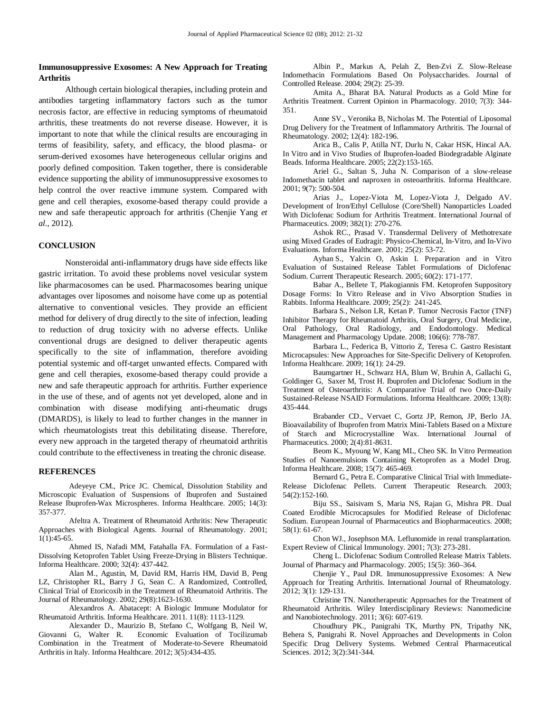# **Immunosuppressive Exosomes: A New Approach for Treating Arthritis**

Although certain biological therapies, including protein and antibodies targeting inflammatory factors such as the tumor necrosis factor, are effective in reducing symptoms of rheumatoid arthritis, these treatments do not reverse disease. However, it is important to note that while the clinical results are encouraging in terms of feasibility, safety, and efficacy, the blood plasma- or serum-derived exosomes have heterogeneous cellular origins and poorly defined composition. Taken together, there is considerable evidence supporting the ability of immunosuppressive exosomes to help control the over reactive immune system. Compared with gene and cell therapies, exosome-based therapy could provide a new and safe therapeutic approach for arthritis (Chenjie Yang *et al.,* 2012).

#### **CONCLUSION**

Nonsteroidal anti-inflammatory drugs have side effects like gastric irritation. To avoid these problems novel vesicular system like pharmacosomes can be used. Pharmacosomes bearing unique advantages over liposomes and noisome have come up as potential alternative to conventional vesicles. They provide an efficient method for delivery of drug directly to the site of infection, leading to reduction of drug toxicity with no adverse effects. Unlike conventional drugs are designed to deliver therapeutic agents specifically to the site of inflammation, therefore avoiding potential systemic and off-target unwanted effects. Compared with gene and cell therapies, exosome-based therapy could provide a new and safe therapeutic approach for arthritis. Further experience in the use of these, and of agents not yet developed, alone and in combination with disease modifying anti-rheumatic drugs (DMARDS), is likely to lead to further changes in the manner in which rheumatologists treat this debilitating disease. Therefore, every new approach in the targeted therapy of rheumatoid arthritis could contribute to the effectiveness in treating the chronic disease.

#### **REFERENCES**

Adeyeye CM., Price JC. Chemical, Dissolution Stability and Microscopic Evaluation of Suspensions of Ibuprofen and Sustained Release Ibuprofen-Wax Microspheres. Informa Healthcare. 2005; 14(3): 357-377.

Afeltra A. Treatment of Rheumatoid Arthritis: New Therapeutic Approaches with Biological Agents. Journal of Rheumatology. 2001; 1(1):45-65.

Ahmed IS, Nafadi MM, Fatahalla FA. Formulation of a Fast-Dissolving Ketoprofen Tablet Using Freeze-Drying in Blisters Technique. Informa Healthcare. 2000; 32(4): 437-442.

Alan M., Agustin, M, David RM, Harris HM, David B, Peng LZ, Christopher RL, Barry J G, Sean C. A Randomized, Controlled, Clinical Trial of Etoricoxib in the Treatment of Rheumatoid Arthritis. The Journal of Rheumatology. 2002; 29(8):1623-1630.

Alexandros A. Abatacept: A Biologic Immune Modulator for Rheumatoid Arthritis. Informa Healthcare. 2011. 11(8): 1113-1129.

Alexander D., Maurizio B, Stefano C, Wolfgang B, Neil W, Giovanni G, Walter R. Economic Evaluation of Tocilizumab Combination in the Treatment of Moderate-to-Severe Rheumatoid Arthritis in Italy. Informa Healthcare. 2012; 3(5):434-435.

Albin P., Markus A, Pelah Z, Ben-Zvi Z. Slow-Release Indomethacin Formulations Based On Polysaccharides. Journal of Controlled Release. 2004; 29(2): 25-39.

Amita A., Bharat BA. Natural Products as a Gold Mine for Arthritis Treatment. Current Opinion in Pharmacology. 2010; 7(3): 344- 351.

Anne SV., Veronika B, Nicholas M. The Potential of Liposomal Drug Delivery for the Treatment of Inflammatory Arthritis. The Journal of Rheumatology. 2002; 12(4): 182-196.

Arica B., Calis P, Atilla NT, Durlu N, Cakar HSK, Hincal AA. In Vitro and in Vivo Studies of Ibuprofen-loaded Biodegradable Alginate Beads. Informa Healthcare. 2005; 22(2):153-165.

Ariel G., Saltan S, Juha N. Comparison of a slow-release Indomethacin tablet and naproxen in osteoarthritis. Informa Healthcare. 2001; 9(7): 500-504.

Arias J., Lopez-Viota M, Lopez-Viota J, Delgado AV. Development of Iron/Ethyl Cellulose (Core/Shell) Nanoparticles Loaded With Diclofenac Sodium for Arthritis Treatment. International Journal of Pharmaceutics. 2009; 382(1): 270-276.

Ashok RC., Prasad V. Transdermal Delivery of Methotrexate using Mixed Grades of Eudragit: Physico-Chemical, In-Vitro, and In-Vivo Evaluations. Informa Healthcare. 2001; 25(2): 53-72.

Ayhan S., Yalcin O, Askin I. Preparation and in Vitro Evaluation of Sustained Release Tablet Formulations of Diclofenac Sodium. Current Therapeutic Research. 2005; 60(2): 171-177.

Babar A., Bellete T, Plakogiannis FM. Ketoprofen Suppository Dosage Forms: In Vitro Release and in Vivo Absorption Studies in Rabbits. Informa Healthcare. 2009; 25(2): 241-245.

Barbara S., Nelson LR, Ketan P. Tumor Necrosis Factor (TNF) Inhibitor Therapy for Rheumatoid Arthritis, Oral Surgery, Oral Medicine, Oral Pathology, Oral Radiology, and Endodontology. Medical Management and Pharmacology Update. 2008; 106(6): 778-787.

Barbara L., Federica B, Vittorio Z, Teresa C. Gastro Resistant Microcapsules: New Approaches for Site-Specific Delivery of Ketoprofen. Informa Healthcare. 2009; 16(1): 24-29.

Baumgartner H., Schwarz HA, Blum W, Bruhin A, Gallachi G, Goldinger G, Saxer M, Trost H. Ibuprofen and Diclofenac Sodium in the Treatment of Osteoarthritis: A Comparative Trial of two Once-Daily Sustained-Release NSAID Formulations. Informa Healthcare. 2009; 13(8): 435-444.

Brabander CD., Vervaet C, Gortz JP, Remon, JP, Berlo JA. Bioavailability of Ibuprofen from Matrix Mini-Tablets Based on a Mixture of Starch and Microcrystalline Wax. International Journal of Pharmaceutics. 2000; 2(4):81-8631.

Beom K., Myoung W, Kang ML, Cheo SK. In Vitro Permeation Studies of Nanoemulsions Containing Ketoprofen as a Model Drug. Informa Healthcare. 2008; 15(7): 465-469.

Bernard G., Petra E. Comparative Clinical Trial with Immediate-Release Diclofenac Pellets. Current Therapeutic Research. 2003; 54(2):152-160.

Biju SS., Saisivam S, Maria NS, Rajan G, Mishra PR. Dual Coated Erodible Microcapsules for Modified Release of Diclofenac Sodium. European Journal of Pharmaceutics and Biopharmaceutics. 2008; 58(1): 61-67.

Chon WJ., Josephson MA. Leflunomide in renal transplantation. Expert Review of Clinical Immunology. 2001; 7(3): 273-281.

Cheng L. Diclofenac Sodium Controlled Release Matrix Tablets. Journal of Pharmacy and Pharmacology. 2005; 15(5): 360–364.

Chenjie Y., Paul DR. Immunosuppressive Exosomes: A New Approach for Treating Arthritis. International Journal of Rheumatology. 2012; 3(1): 129-131.

Christine TN. Nanotherapeutic Approaches for the Treatment of Rheumatoid Arthritis. Wiley Interdisciplinary Reviews: Nanomedicine and Nanobiotechnology. 2011; 3(6): 607-619.

Choudhury PK., Panigrahi TK, Murthy PN, Tripathy NK, Behera S, Panigrahi R. Novel Approaches and Developments in Colon Specific Drug Delivery Systems. Webmed Central Pharmaceutical Sciences. 2012; 3(2):341-344.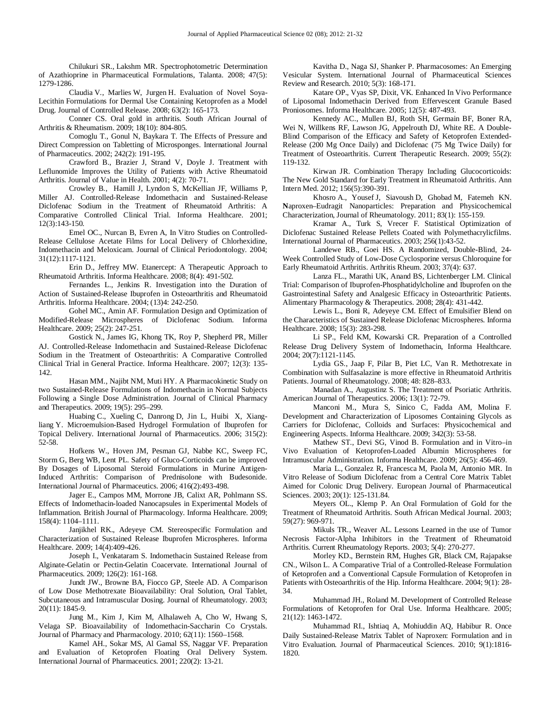Chilukuri SR., Lakshm MR. Spectrophotometric Determination of Azathioprine in Pharmaceutical Formulations, Talanta. 2008; 47(5): 1279-1286.

Claudia V., Marlies W, Jurgen H. Evaluation of Novel Soya-Lecithin Formulations for Dermal Use Containing Ketoprofen as a Model Drug. Journal of Controlled Release. 2008; 63(2): 165-173.

Conner CS. Oral gold in arthritis. South African Journal of Arthritis & Rheumatism. 2009; 18(10): 804-805.

Comoglu T., Gonul N, Baykara T. The Effects of Pressure and Direct Compression on Tabletting of Microsponges. International Journal of Pharmaceutics. 2002; 242(2): 191-195.

Crawford B., Brazier J, Strand V, Doyle J. Treatment with Leflunomide Improves the Utility of Patients with Active Rheumatoid Arthritis. Journal of Value in Health. 2001; 4(2): 70-71.

Crowley B., Hamill J, Lyndon S, McKellian JF, Williams P, Miller AJ. Controlled-Release Indomethacin and Sustained-Release Diclofenac Sodium in the Treatment of Rheumatoid Arthritis: A Comparative Controlled Clinical Trial. Informa Healthcare. 2001; 12(3):143-150.

Emel OC., Nurcan B, Evren A, In Vitro Studies on Controlled-Release Cellulose Acetate Films for Local Delivery of Chlorhexidine, Indomethacin and Meloxicam. Journal of Clinical Periodontology. 2004; 31(12):1117-1121.

Erin D., Jeffrey MW. Etanercept: A Therapeutic Approach to Rheumatoid Arthritis. Informa Healthcare. 2008; 8(4): 491-502.

Fernandes L., Jenkins R. Investigation into the Duration of Action of Sustained-Release Ibuprofen in Osteoarthritis and Rheumatoid Arthritis. Informa Healthcare. 2004; (13)4: 242-250.

Gohel MC., Amin AF. Formulation Design and Optimization of Modified-Release Microspheres of Diclofenac Sodium. Informa Healthcare. 2009; 25(2): 247-251.

Gostick N., James IG, Khong TK, Roy P, Shepherd PR, Miller AJ. Controlled-Release Indomethacin and Sustained-Release Diclofenac Sodium in the Treatment of Osteoarthritis: A Comparative Controlled Clinical Trial in General Practice. Informa Healthcare. 2007; 12(3): 135- 142.

Hasan MM., Najibt NM, Muti HY. A Pharmacokinetic Study on two Sustained-Release Formulations of Indomethacin in Normal Subjects Following a Single Dose Administration. Journal of Clinical Pharmacy and Therapeutics. 2009; 19(5): 295–299.

Huabing C., Xueling C, Danrong D, Jin L, Huibi X, Xiangliang Y. Microemulsion-Based Hydrogel Formulation of Ibuprofen for Topical Delivery. International Journal of Pharmaceutics. 2006; 315(2): 52-58.

Hofkens W., Hoven JM, Pesman GJ, Nabbe KC, Sweep FC, Storm G, Berg WB, Lent PL. Safety of Gluco-Corticoids can be improved By Dosages of Liposomal Steroid Formulations in Murine Antigen-Induced Arthritis: Comparison of Prednisolone with Budesonide. International Journal of Pharmaceutics. 2006; 416(2):493-498.

Jager E., Campos MM, Morrone JB, Calixt AR, Pohlmann SS. Effects of Indomethacin-loaded Nanocapsules in Experimental Models of Inflammation. British Journal of Pharmacology. Informa Healthcare. 2009; 158(4): 1104–1111.

Janjikhel RK., Adeyeye CM. Stereospecific Formulation and Characterization of Sustained Release Ibuprofen Microspheres. Informa Healthcare. 2009; 14(4):409-426.

Joseph I., Venkataram S. Indomethacin Sustained Release from Alginate-Gelatin or Pectin-Gelatin Coacervate. International Journal of Pharmaceutics. 2009; 126(2): 161-168.

Jundt JW., Browne BA, Fiocco GP, Steele AD. A Comparison of Low Dose Methotrexate Bioavailability: Oral Solution, Oral Tablet, Subcutaneous and Intramuscular Dosing. Journal of Rheumatology. 2003; 20(11): 1845-9.

Jung M., Kim J, Kim M, Alhalaweh A, Cho W, Hwang S, Velaga SP. Bioavailability of Indomethacin-Saccharin Co Crystals. Journal of Pharmacy and Pharmacology. 2010; 62(11): 1560–1568.

Kamel AH., Sokar MS, Al Gamal SS, Naggar VF. Preparation and Evaluation of Ketoprofen Floating Oral Delivery System. International Journal of Pharmaceutics. 2001; 220(2): 13-21.

Kavitha D., Naga SJ, Shanker P. Pharmacosomes: An Emerging Vesicular System. International Journal of Pharmaceutical Sciences Review and Research. 2010; 5(3): 168-171.

Katare OP., Vyas SP, Dixit, VK. Enhanced In Vivo Performance of Liposomal Indomethacin Derived from Effervescent Granule Based Proniosomes. Informa Healthcare. 2005; 12(5): 487-493.

Kennedy AC., Mullen BJ, Roth SH, Germain BF, Boner RA, Wei N, Willkens RF, Lawson JG, Appelrouth DJ, White RE. A Double-Blind Comparison of the Efficacy and Safety of Ketoprofen Extended-Release (200 Mg Once Daily) and Diclofenac (75 Mg Twice Daily) for Treatment of Osteoarthritis. Current Therapeutic Research. 2009; 55(2): 119-132.

Kirwan JR. Combination Therapy Including Glucocorticoids: The New Gold Standard for Early Treatment in Rheumatoid Arthritis. Ann Intern Med. 2012; 156(5):390-391.

Khosro A., Yousef J, Siavoush D, Ghobad M, Fatemeh KN. **N**aproxen–Eudragit Nanoparticles: Preparation and Physicochemical Characterization, Journal of Rheumatology. 2011; 83(1): 155-159.

Kramar A., Turk S, Vrecer F. Statistical Optimization of Diclofenac Sustained Release Pellets Coated with Polymethacrylicfilms. International Journal of Pharmaceutics. 2003; 256(1):43-52.

Landewe RB., Goei HS. A Randomized, Double-Blind, 24- Week Controlled Study of Low-Dose Cyclosporine versus Chloroquine for Early Rheumatoid Arthritis. Arthritis Rheum. 2003; 37(4): 637.

Lanza FL., Marathi UK, Anand BS, Lichtenberger LM. Clinical Trial: Comparison of Ibuprofen-Phosphatidylcholine and Ibuprofen on the Gastrointestinal Safety and Analgesic Efficacy in Osteoarthritic Patients. Alimentary Pharmacology & Therapeutics. 2008; 28(4): 431-442.

Lewis L., Boni R, Adeyeye CM. Effect of Emulsifier Blend on the Characteristics of Sustained Release Diclofenac Microspheres. Informa Healthcare. 2008; 15(3): 283-298.

Li SP., Feld KM, Kowarski CR. Preparation of a Controlled Release Drug Delivery System of Indomethacin, Informa Healthcare. 2004; 20(7):1121-1145.

Lydia GS., Jaap F, Pilar B, Piet LC, Van R. Methotrexate in Combination with Sulfasalazine is more effective in Rheumatoid Arthritis Patients. Journal of Rheumatology. 2008; 48: 828–833.

Manadan A., Augustinz S. The Treatment of Psoriatic Arthritis. American Journal of Therapeutics. 2006; 13(1): 72-79.

Manconi M., Mura S, Sinico C, Fadda AM, Molina F. Development and Characterization of Liposomes Containing Glycols as Carriers for Diclofenac, Colloids and Surfaces: Physicochemical and Engineering Aspects. Informa Healthcare. 2009; 342(3): 53-58.

Mathew ST., Devi SG, Vinod B. Formulation and in Vitro–in Vivo Evaluation of Ketoprofen-Loaded Albumin Microspheres for Intramuscular Administration. Informa Healthcare. 2009; 26(5): 456-469.

Maria L., Gonzalez R, Francesca M, Paola M, Antonio MR. In Vitro Release of Sodium Diclofenac from a Central Core Matrix Tablet Aimed for Colonic Drug Delivery. European Journal of Pharmaceutical Sciences. 2003; 20(1): 125-131.84.

Meyers OL., Klemp P. An Oral Formulation of Gold for the Treatment of Rheumatoid Arthritis. South African Medical Journal. 2003; 59(27): 969-971.

Mikuls TR., Weaver AL. Lessons Learned in the use of Tumor Necrosis Factor-Alpha Inhibitors in the Treatment of Rheumatoid Arthritis. Current Rheumatology Reports. 2003; 5(4): 270-277.

Morley KD., Bernstein RM, Hughes GR, Black CM, Rajapakse CN., Wilson L. A Comparative Trial of a Controlled-Release Formulation of Ketoprofen and a Conventional Capsule Formulation of Ketoprofen in Patients with Osteoarthritis of the Hip. Informa Healthcare. 2004; 9(1): 28- 34.

Muhammad JH., Roland M. Development of Controlled Release Formulations of Ketoprofen for Oral Use. Informa Healthcare. 2005; 21(12): 1463-1472.

Muhammad RI., Ishtiaq A, Mohiuddin AQ, Habibur R. Once Daily Sustained-Release Matrix Tablet of Naproxen: Formulation and in Vitro Evaluation. Journal of Pharmaceutical Sciences. 2010; 9(1):1816- 1820.